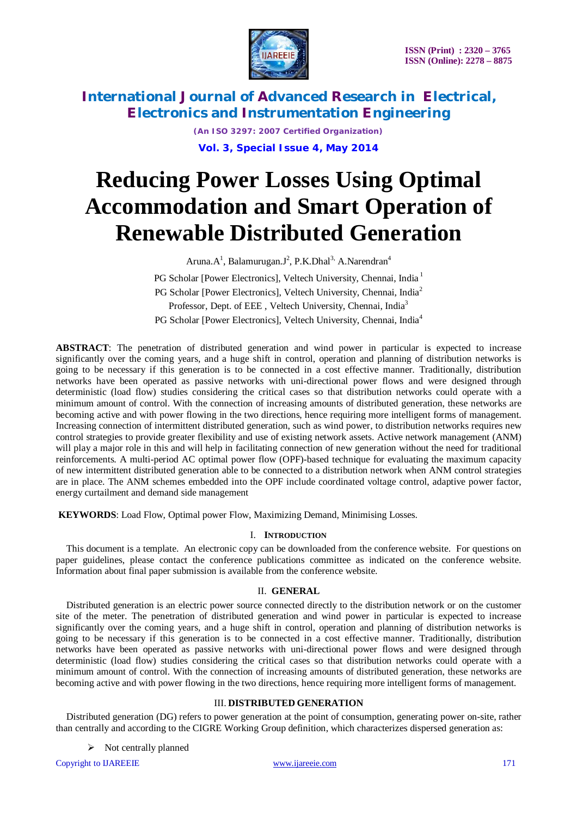

*(An ISO 3297: 2007 Certified Organization)* **Vol. 3, Special Issue 4, May 2014**

# **Reducing Power Losses Using Optimal Accommodation and Smart Operation of Renewable Distributed Generation**

Aruna. $A^1$ , Balamurugan.J<sup>2</sup>, P.K.Dhal<sup>3,</sup> A.Narendran<sup>4</sup>

PG Scholar [Power Electronics], Veltech University, Chennai, India<sup>1</sup> PG Scholar [Power Electronics], Veltech University, Chennai, India<sup>2</sup> Professor, Dept. of EEE, Veltech University, Chennai, India<sup>3</sup> PG Scholar [Power Electronics], Veltech University, Chennai, India<sup>4</sup>

**ABSTRACT**: The penetration of distributed generation and wind power in particular is expected to increase significantly over the coming years, and a huge shift in control, operation and planning of distribution networks is going to be necessary if this generation is to be connected in a cost effective manner. Traditionally, distribution networks have been operated as passive networks with uni-directional power flows and were designed through deterministic (load flow) studies considering the critical cases so that distribution networks could operate with a minimum amount of control. With the connection of increasing amounts of distributed generation, these networks are becoming active and with power flowing in the two directions, hence requiring more intelligent forms of management. Increasing connection of intermittent distributed generation, such as wind power, to distribution networks requires new control strategies to provide greater flexibility and use of existing network assets. Active network management (ANM) will play a major role in this and will help in facilitating connection of new generation without the need for traditional reinforcements. A multi-period AC optimal power flow (OPF)-based technique for evaluating the maximum capacity of new intermittent distributed generation able to be connected to a distribution network when ANM control strategies are in place. The ANM schemes embedded into the OPF include coordinated voltage control, adaptive power factor, energy curtailment and demand side management

**KEYWORDS**: Load Flow, Optimal power Flow, Maximizing Demand, Minimising Losses.

### I. **INTRODUCTION**

This document is a template. An electronic copy can be downloaded from the conference website. For questions on paper guidelines, please contact the conference publications committee as indicated on the conference website. Information about final paper submission is available from the conference website.

### II. **GENERAL**

Distributed generation is an electric power source connected directly to the distribution network or on the customer site of the meter. The penetration of distributed generation and wind power in particular is expected to increase significantly over the coming years, and a huge shift in control, operation and planning of distribution networks is going to be necessary if this generation is to be connected in a cost effective manner. Traditionally, distribution networks have been operated as passive networks with uni-directional power flows and were designed through deterministic (load flow) studies considering the critical cases so that distribution networks could operate with a minimum amount of control. With the connection of increasing amounts of distributed generation, these networks are becoming active and with power flowing in the two directions, hence requiring more intelligent forms of management.

### III. **DISTRIBUTED GENERATION**

Distributed generation (DG) refers to power generation at the point of consumption, generating power on-site, rather than centrally and according to the CIGRE Working Group definition, which characterizes dispersed generation as:

 $\triangleright$  Not centrally planned

Copyright to IJAREEIE www.ijareeie.com 171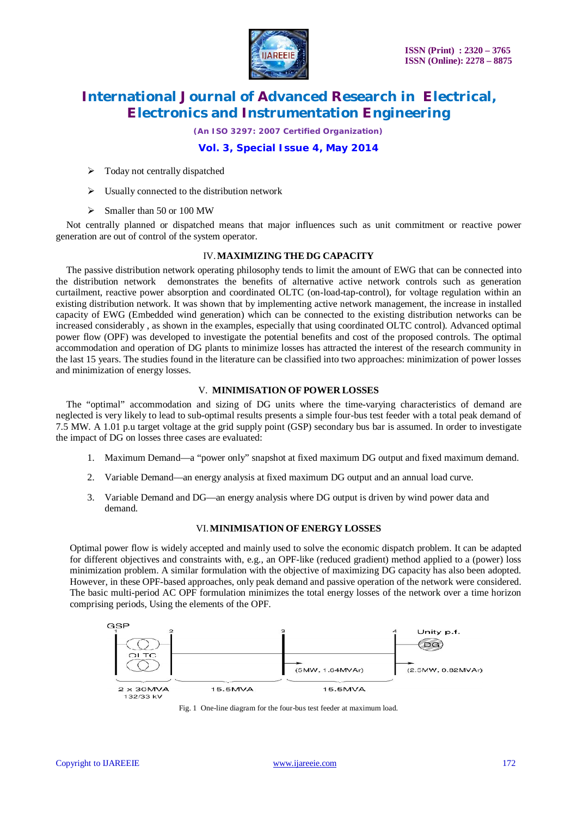

*(An ISO 3297: 2007 Certified Organization)*

## **Vol. 3, Special Issue 4, May 2014**

- $\triangleright$  Today not centrally dispatched
- $\triangleright$  Usually connected to the distribution network
- $\triangleright$  Smaller than 50 or 100 MW

Not centrally planned or dispatched means that major influences such as unit commitment or reactive power generation are out of control of the system operator.

### IV.**MAXIMIZING THE DG CAPACITY**

The passive distribution network operating philosophy tends to limit the amount of EWG that can be connected into the distribution network demonstrates the benefits of alternative active network controls such as generation curtailment, reactive power absorption and coordinated OLTC (on-load-tap-control), for voltage regulation within an existing distribution network. It was shown that by implementing active network management, the increase in installed capacity of EWG (Embedded wind generation) which can be connected to the existing distribution networks can be increased considerably , as shown in the examples, especially that using coordinated OLTC control). Advanced optimal power flow (OPF) was developed to investigate the potential benefits and cost of the proposed controls. The optimal accommodation and operation of DG plants to minimize losses has attracted the interest of the research community in the last 15 years. The studies found in the literature can be classified into two approaches: minimization of power losses and minimization of energy losses.

### V. **MINIMISATION OF POWER LOSSES**

The "optimal" accommodation and sizing of DG units where the time-varying characteristics of demand are neglected is very likely to lead to sub-optimal results presents a simple four-bus test feeder with a total peak demand of 7.5 MW. A 1.01 p.u target voltage at the grid supply point (GSP) secondary bus bar is assumed. In order to investigate the impact of DG on losses three cases are evaluated:

- 1. Maximum Demand—a "power only" snapshot at fixed maximum DG output and fixed maximum demand.
- 2. Variable Demand—an energy analysis at fixed maximum DG output and an annual load curve.
- 3. Variable Demand and DG—an energy analysis where DG output is driven by wind power data and demand.

### VI.**MINIMISATION OF ENERGY LOSSES**

Optimal power flow is widely accepted and mainly used to solve the economic dispatch problem. It can be adapted for different objectives and constraints with, e.g., an OPF-like (reduced gradient) method applied to a (power) loss minimization problem. A similar formulation with the objective of maximizing DG capacity has also been adopted. However, in these OPF-based approaches, only peak demand and passive operation of the network were considered. The basic multi-period AC OPF formulation minimizes the total energy losses of the network over a time horizon comprising periods, Using the elements of the OPF.



Fig. 1 One-line diagram for the four-bus test feeder at maximum load.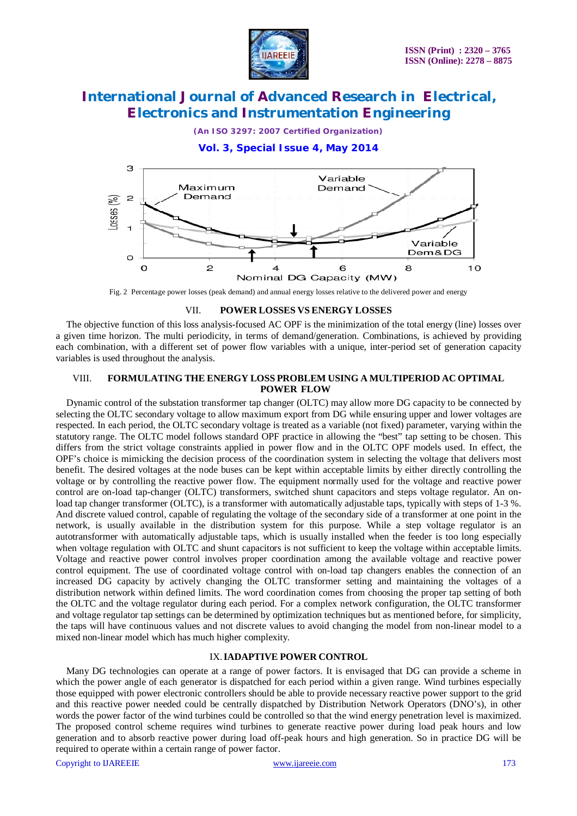

*(An ISO 3297: 2007 Certified Organization)*

**Vol. 3, Special Issue 4, May 2014**



Fig. 2 Percentage power losses (peak demand) and annual energy losses relative to the delivered power and energy

#### VII. **POWER LOSSES VS ENERGY LOSSES**

The objective function of this loss analysis-focused AC OPF is the minimization of the total energy (line) losses over a given time horizon. The multi periodicity, in terms of demand/generation. Combinations, is achieved by providing each combination, with a different set of power flow variables with a unique, inter-period set of generation capacity variables is used throughout the analysis.

### VIII. **FORMULATING THE ENERGY LOSS PROBLEM USING A MULTIPERIOD AC OPTIMAL POWER FLOW**

Dynamic control of the substation transformer tap changer (OLTC) may allow more DG capacity to be connected by selecting the OLTC secondary voltage to allow maximum export from DG while ensuring upper and lower voltages are respected. In each period, the OLTC secondary voltage is treated as a variable (not fixed) parameter, varying within the statutory range. The OLTC model follows standard OPF practice in allowing the "best" tap setting to be chosen. This differs from the strict voltage constraints applied in power flow and in the OLTC OPF models used. In effect, the OPF's choice is mimicking the decision process of the coordination system in selecting the voltage that delivers most benefit. The desired voltages at the node buses can be kept within acceptable limits by either directly controlling the voltage or by controlling the reactive power flow. The equipment normally used for the voltage and reactive power control are on-load tap-changer (OLTC) transformers, switched shunt capacitors and steps voltage regulator. An onload tap changer transformer (OLTC), is a transformer with automatically adjustable taps, typically with steps of 1-3 %. And discrete valued control, capable of regulating the voltage of the secondary side of a transformer at one point in the network, is usually available in the distribution system for this purpose. While a step voltage regulator is an autotransformer with automatically adjustable taps, which is usually installed when the feeder is too long especially when voltage regulation with OLTC and shunt capacitors is not sufficient to keep the voltage within acceptable limits. Voltage and reactive power control involves proper coordination among the available voltage and reactive power control equipment. The use of coordinated voltage control with on-load tap changers enables the connection of an increased DG capacity by actively changing the OLTC transformer setting and maintaining the voltages of a distribution network within defined limits. The word coordination comes from choosing the proper tap setting of both the OLTC and the voltage regulator during each period. For a complex network configuration, the OLTC transformer and voltage regulator tap settings can be determined by optimization techniques but as mentioned before, for simplicity, the taps will have continuous values and not discrete values to avoid changing the model from non-linear model to a mixed non-linear model which has much higher complexity.

### IX.**IADAPTIVE POWER CONTROL**

Many DG technologies can operate at a range of power factors. It is envisaged that DG can provide a scheme in which the power angle of each generator is dispatched for each period within a given range. Wind turbines especially those equipped with power electronic controllers should be able to provide necessary reactive power support to the grid and this reactive power needed could be centrally dispatched by Distribution Network Operators (DNO's), in other words the power factor of the wind turbines could be controlled so that the wind energy penetration level is maximized. The proposed control scheme requires wind turbines to generate reactive power during load peak hours and low generation and to absorb reactive power during load off-peak hours and high generation. So in practice DG will be required to operate within a certain range of power factor.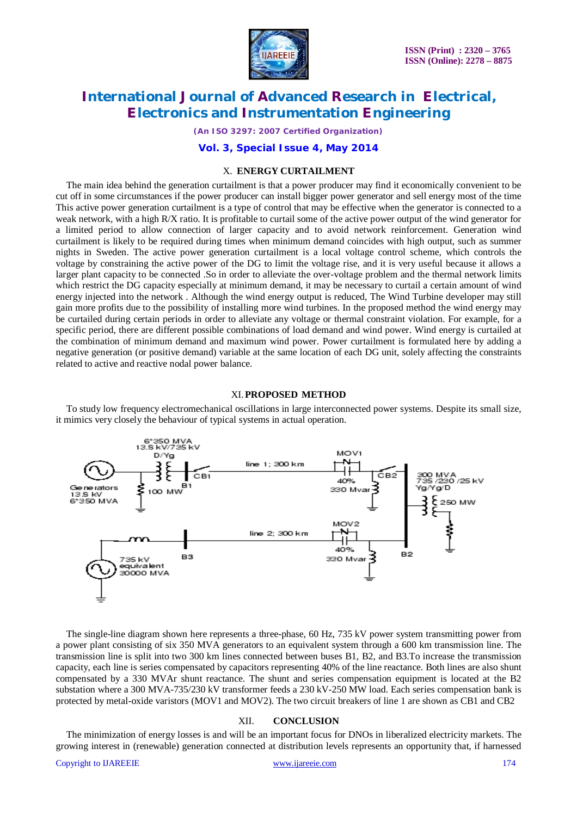

*(An ISO 3297: 2007 Certified Organization)*

### **Vol. 3, Special Issue 4, May 2014**

#### X. **ENERGY CURTAILMENT**

The main idea behind the generation curtailment is that a power producer may find it economically convenient to be cut off in some circumstances if the power producer can install bigger power generator and sell energy most of the time This active power generation curtailment is a type of control that may be effective when the generator is connected to a weak network, with a high R/X ratio. It is profitable to curtail some of the active power output of the wind generator for a limited period to allow connection of larger capacity and to avoid network reinforcement. Generation wind curtailment is likely to be required during times when minimum demand coincides with high output, such as summer nights in Sweden. The active power generation curtailment is a local voltage control scheme, which controls the voltage by constraining the active power of the DG to limit the voltage rise, and it is very useful because it allows a larger plant capacity to be connected .So in order to alleviate the over-voltage problem and the thermal network limits which restrict the DG capacity especially at minimum demand, it may be necessary to curtail a certain amount of wind energy injected into the network . Although the wind energy output is reduced, The Wind Turbine developer may still gain more profits due to the possibility of installing more wind turbines. In the proposed method the wind energy may be curtailed during certain periods in order to alleviate any voltage or thermal constraint violation. For example, for a specific period, there are different possible combinations of load demand and wind power. Wind energy is curtailed at the combination of minimum demand and maximum wind power. Power curtailment is formulated here by adding a negative generation (or positive demand) variable at the same location of each DG unit, solely affecting the constraints related to active and reactive nodal power balance.

#### XI.**PROPOSED METHOD**

To study low frequency electromechanical oscillations in large interconnected power systems. Despite its small size, it mimics very closely the behaviour of typical systems in actual operation.



The single-line diagram shown here represents a three-phase, 60 Hz, 735 kV power system transmitting power from a power plant consisting of six 350 MVA generators to an equivalent system through a 600 km transmission line. The transmission line is split into two 300 km lines connected between buses B1, B2, and B3.To increase the transmission capacity, each line is series compensated by capacitors representing 40% of the line reactance. Both lines are also shunt compensated by a 330 MVAr shunt reactance. The shunt and series compensation equipment is located at the B2 substation where a 300 MVA-735/230 kV transformer feeds a 230 kV-250 MW load. Each series compensation bank is protected by metal-oxide varistors (MOV1 and MOV2). The two circuit breakers of line 1 are shown as CB1 and CB2

#### XII. **CONCLUSION**

The minimization of energy losses is and will be an important focus for DNOs in liberalized electricity markets. The growing interest in (renewable) generation connected at distribution levels represents an opportunity that, if harnessed

### Copyright to UAREEIE www.ijareeie.com www.ijareeie.com 174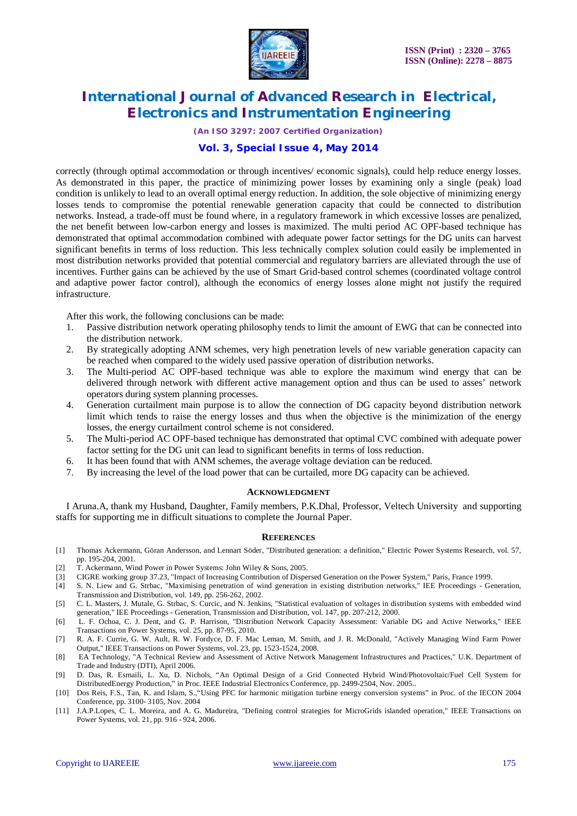

*(An ISO 3297: 2007 Certified Organization)*

### **Vol. 3, Special Issue 4, May 2014**

correctly (through optimal accommodation or through incentives/ economic signals), could help reduce energy losses. As demonstrated in this paper, the practice of minimizing power losses by examining only a single (peak) load condition is unlikely to lead to an overall optimal energy reduction. In addition, the sole objective of minimizing energy losses tends to compromise the potential renewable generation capacity that could be connected to distribution networks. Instead, a trade-off must be found where, in a regulatory framework in which excessive losses are penalized, the net benefit between low-carbon energy and losses is maximized. The multi period AC OPF-based technique has demonstrated that optimal accommodation combined with adequate power factor settings for the DG units can harvest significant benefits in terms of loss reduction. This less technically complex solution could easily be implemented in most distribution networks provided that potential commercial and regulatory barriers are alleviated through the use of incentives. Further gains can be achieved by the use of Smart Grid-based control schemes (coordinated voltage control and adaptive power factor control), although the economics of energy losses alone might not justify the required infrastructure.

After this work, the following conclusions can be made:

- 1. Passive distribution network operating philosophy tends to limit the amount of EWG that can be connected into the distribution network.
- 2. By strategically adopting ANM schemes, very high penetration levels of new variable generation capacity can be reached when compared to the widely used passive operation of distribution networks.
- 3. The Multi-period AC OPF-based technique was able to explore the maximum wind energy that can be delivered through network with different active management option and thus can be used to asses' network operators during system planning processes.
- 4. Generation curtailment main purpose is to allow the connection of DG capacity beyond distribution network limit which tends to raise the energy losses and thus when the objective is the minimization of the energy losses, the energy curtailment control scheme is not considered.
- 5. The Multi-period AC OPF-based technique has demonstrated that optimal CVC combined with adequate power factor setting for the DG unit can lead to significant benefits in terms of loss reduction.
- 6. It has been found that with ANM schemes, the average voltage deviation can be reduced.
- 7. By increasing the level of the load power that can be curtailed, more DG capacity can be achieved.

#### **ACKNOWLEDGMENT**

I Aruna.A, thank my Husband, Daughter, Family members, P.K.Dhal, Professor, Veltech University and supporting staffs for supporting me in difficult situations to complete the Journal Paper.

#### **REFERENCES**

- [1] Thomas Ackermann, Göran Andersson, and Lennart Söder, "Distributed generation: a definition," Electric Power Systems Research, vol. 57, pp. 195-204, 2001.
- [2] T. Ackermann, Wind Power in Power Systems: John Wiley & Sons, 2005.
- [3] CIGRE working group 37.23, "Impact of Increasing Contribution of Dispersed Generation on the Power System," Paris, France 1999.
- [4] S. N. Liew and G. Strbac, "Maximising penetration of wind generation in existing distribution networks," IEE Proceedings Generation, Transmission and Distribution, vol. 149, pp. 256-262, 2002.
- [5] C. L. Masters, J. Mutale, G. Strbac, S. Curcic, and N. Jenkins, "Statistical evaluation of voltages in distribution systems with embedded wind generation," IEE Proceedings - Generation, Transmission and Distribution, vol. 147, pp. 207-212, 2000.
- [6] L. F. Ochoa, C. J. Dent, and G. P. Harrison, "Distribution Network Capacity Assessment: Variable DG and Active Networks," IEEE Transactions on Power Systems, vol. 25, pp. 87-95, 2010.
- [7] R. A. F. Currie, G. W. Ault, R. W. Fordyce, D. F. Mac Leman, M. Smith, and J. R. McDonald, "Actively Managing Wind Farm Power Output," IEEE Transactions on Power Systems, vol. 23, pp. 1523-1524, 2008.
- [8] EA Technology, "A Technical Review and Assessment of Active Network Management Infrastructures and Practices," U.K. Department of Trade and Industry (DTI), April 2006.
- [9] D. Das, R. Esmaili, L. Xu, D. Nichols, "An Optimal Design of a Grid Connected Hybrid Wind/Photovoltaic/Fuel Cell System for DistributedEnergy Production," in Proc. IEEE Industrial Electronics Conference, pp. 2499-2504, Nov. 2005..
- [10] Dos Reis, F.S., Tan, K. and Islam, S.,"Using PFC for harmonic mitigation turbine energy conversion systems" in Proc. of the IECON 2004 Conference, pp. 3100- 3105, Nov. 2004
- [11] J.A.P.Lopes, C. L. Moreira, and A. G. Madureira, "Defining control strategies for MicroGrids islanded operation," IEEE Transactions on Power Systems, vol. 21, pp. 916 - 924, 2006.